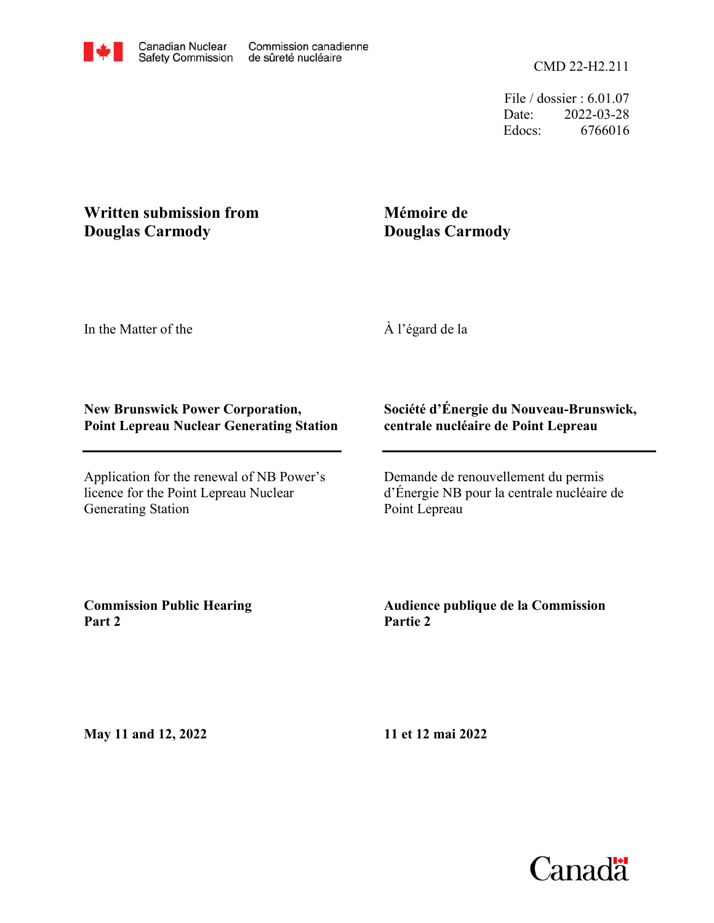File / dossier : 6.01.07 Date: 2022-03-28 Edocs: 6766016

# **Written submission from Douglas Carmody**

## **Mémoire de Douglas Carmody**

In the Matter of the

À l'égard de la

#### **New Brunswick Power Corporation, Point Lepreau Nuclear Generating Station**

Application for the renewal of NB Power's licence for the Point Lepreau Nuclear Generating Station

#### **Société d'Énergie du Nouveau-Brunswick, centrale nucléaire de Point Lepreau**

Demande de renouvellement du permis d'Énergie NB pour la centrale nucléaire de Point Lepreau

**Commission Public Hearing Part 2**

### **Audience publique de la Commission Partie 2**

**May 11 and 12, 2022**

**11 et 12 mai 2022**